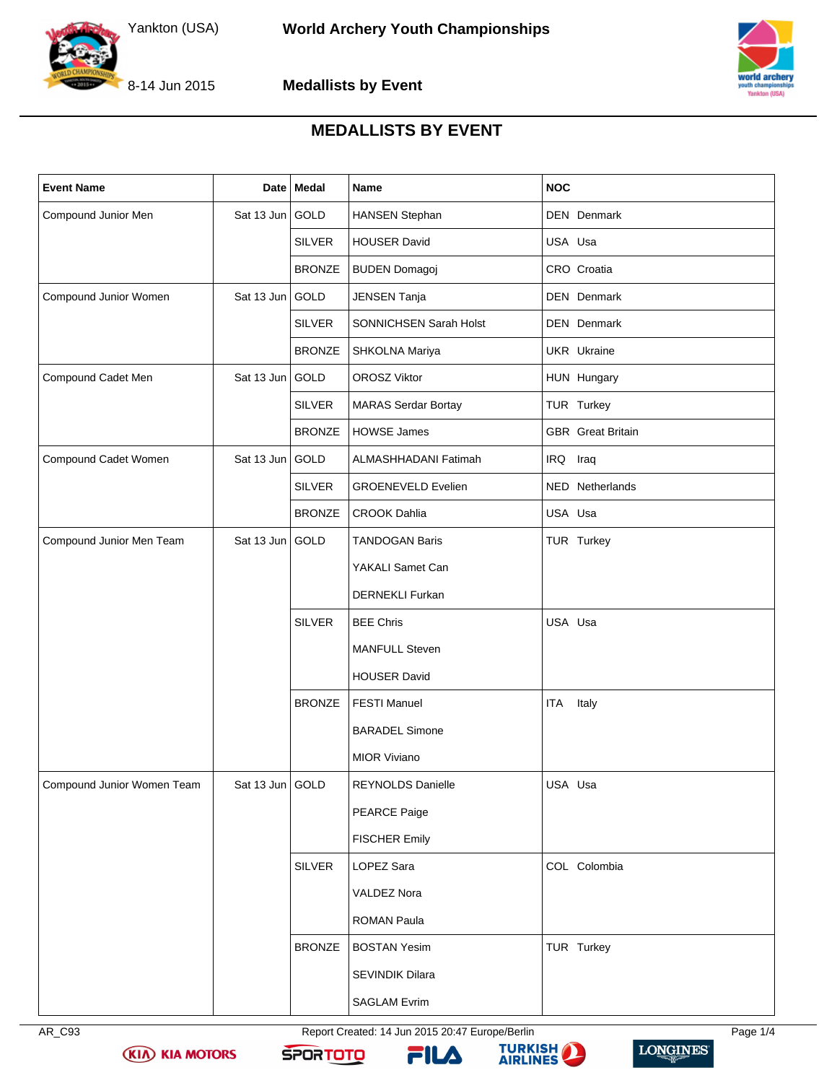



**Medallists by Event**



## **MEDALLISTS BY EVENT**

| <b>Event Name</b>          |                 | Date Medal    | Name                          | <b>NOC</b>               |
|----------------------------|-----------------|---------------|-------------------------------|--------------------------|
| Compound Junior Men        | Sat 13 Jun GOLD |               | HANSEN Stephan                | <b>DEN</b> Denmark       |
|                            |                 | <b>SILVER</b> | <b>HOUSER David</b>           | USA Usa                  |
|                            |                 | <b>BRONZE</b> | <b>BUDEN Domagoj</b>          | CRO Croatia              |
| Compound Junior Women      | Sat 13 Jun GOLD |               | JENSEN Tanja                  | DEN Denmark              |
|                            |                 | <b>SILVER</b> | <b>SONNICHSEN Sarah Holst</b> | <b>DEN</b> Denmark       |
|                            |                 | <b>BRONZE</b> | SHKOLNA Mariya                | <b>UKR</b> Ukraine       |
| Compound Cadet Men         | Sat 13 Jun GOLD |               | OROSZ Viktor                  | HUN Hungary              |
|                            |                 | <b>SILVER</b> | <b>MARAS Serdar Bortay</b>    | TUR Turkey               |
|                            |                 | <b>BRONZE</b> | <b>HOWSE James</b>            | <b>GBR</b> Great Britain |
| Compound Cadet Women       | Sat 13 Jun GOLD |               | ALMASHHADANI Fatimah          | IRQ Iraq                 |
|                            |                 | <b>SILVER</b> | <b>GROENEVELD Evelien</b>     | NED Netherlands          |
|                            |                 | <b>BRONZE</b> | <b>CROOK Dahlia</b>           | USA Usa                  |
| Compound Junior Men Team   | Sat 13 Jun GOLD |               | <b>TANDOGAN Baris</b>         | TUR Turkey               |
|                            |                 |               | YAKALI Samet Can              |                          |
|                            |                 |               | <b>DERNEKLI Furkan</b>        |                          |
|                            |                 | <b>SILVER</b> | <b>BEE Chris</b>              | USA Usa                  |
|                            |                 |               | <b>MANFULL Steven</b>         |                          |
|                            |                 |               | <b>HOUSER David</b>           |                          |
|                            |                 | <b>BRONZE</b> | <b>FESTI Manuel</b>           | Italy<br>ITA             |
|                            |                 |               | <b>BARADEL Simone</b>         |                          |
|                            |                 |               | <b>MIOR Viviano</b>           |                          |
| Compound Junior Women Team | Sat 13 Jun GOLD |               | REYNOLDS Danielle             | USA Usa                  |
|                            |                 |               | PEARCE Paige                  |                          |
|                            |                 |               | <b>FISCHER Emily</b>          |                          |
|                            |                 | SILVER        | LOPEZ Sara                    | COL Colombia             |
|                            |                 |               | VALDEZ Nora                   |                          |
|                            |                 |               | <b>ROMAN Paula</b>            |                          |
|                            |                 | <b>BRONZE</b> | <b>BOSTAN Yesim</b>           | TUR Turkey               |
|                            |                 |               | SEVINDIK Dilara               |                          |
|                            |                 |               | <b>SAGLAM Evrim</b>           |                          |

**KIA KIA MOTORS** 

AR\_C93 Report Created: 14 Jun 2015 20:47 Europe/Berlin Page 1/4







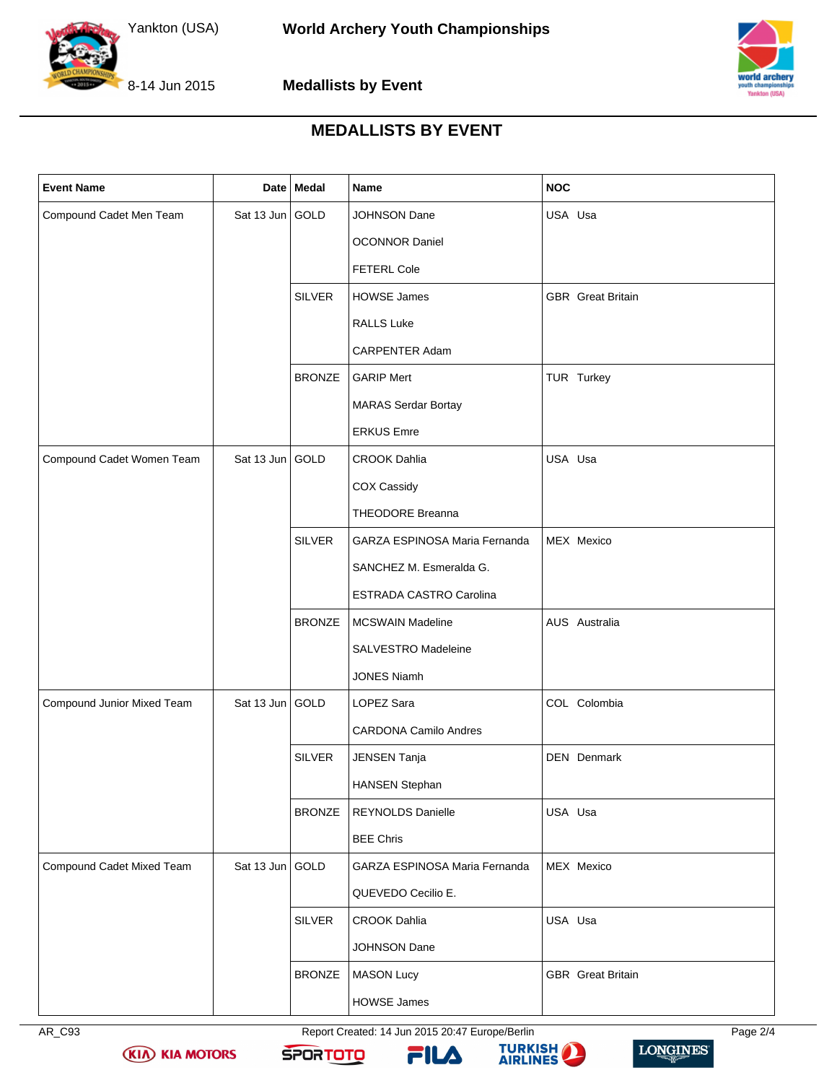



**Medallists by Event**



## **MEDALLISTS BY EVENT**

| <b>Event Name</b>          |                 | Date Medal    | Name                           | <b>NOC</b>               |
|----------------------------|-----------------|---------------|--------------------------------|--------------------------|
| Compound Cadet Men Team    | Sat 13 Jun GOLD |               | JOHNSON Dane                   | USA Usa                  |
|                            |                 |               | <b>OCONNOR Daniel</b>          |                          |
|                            |                 |               | <b>FETERL Cole</b>             |                          |
|                            |                 | <b>SILVER</b> | <b>HOWSE James</b>             | <b>GBR</b> Great Britain |
|                            |                 |               | <b>RALLS Luke</b>              |                          |
|                            |                 |               | CARPENTER Adam                 |                          |
|                            |                 | <b>BRONZE</b> | <b>GARIP Mert</b>              | TUR Turkey               |
|                            |                 |               | <b>MARAS Serdar Bortay</b>     |                          |
|                            |                 |               | <b>ERKUS Emre</b>              |                          |
| Compound Cadet Women Team  | Sat 13 Jun GOLD |               | <b>CROOK Dahlia</b>            | USA Usa                  |
|                            |                 |               | COX Cassidy                    |                          |
|                            |                 |               | <b>THEODORE Breanna</b>        |                          |
|                            |                 | <b>SILVER</b> | GARZA ESPINOSA Maria Fernanda  | MEX Mexico               |
|                            |                 |               | SANCHEZ M. Esmeralda G.        |                          |
|                            |                 |               | <b>ESTRADA CASTRO Carolina</b> |                          |
|                            |                 | <b>BRONZE</b> | <b>MCSWAIN Madeline</b>        | AUS Australia            |
|                            |                 |               | SALVESTRO Madeleine            |                          |
|                            |                 |               | <b>JONES Niamh</b>             |                          |
| Compound Junior Mixed Team | Sat 13 Jun GOLD |               | LOPEZ Sara                     | COL Colombia             |
|                            |                 |               | <b>CARDONA Camilo Andres</b>   |                          |
|                            |                 | <b>SILVER</b> | <b>JENSEN Tanja</b>            | <b>DEN</b> Denmark       |
|                            |                 |               | <b>HANSEN Stephan</b>          |                          |
|                            |                 | <b>BRONZE</b> | REYNOLDS Danielle              | USA Usa                  |
|                            |                 |               | <b>BEE Chris</b>               |                          |
| Compound Cadet Mixed Team  | Sat 13 Jun GOLD |               | GARZA ESPINOSA Maria Fernanda  | MEX Mexico               |
|                            |                 |               | QUEVEDO Cecilio E.             |                          |
|                            |                 | <b>SILVER</b> | <b>CROOK Dahlia</b>            | USA Usa                  |
|                            |                 |               | JOHNSON Dane                   |                          |
|                            |                 | <b>BRONZE</b> | <b>MASON Lucy</b>              | <b>GBR</b> Great Britain |
|                            |                 |               | <b>HOWSE James</b>             |                          |

AR\_C93 Report Created: 14 Jun 2015 20:47 Europe/Berlin Page 2/4



**KIA KIA MOTORS** 





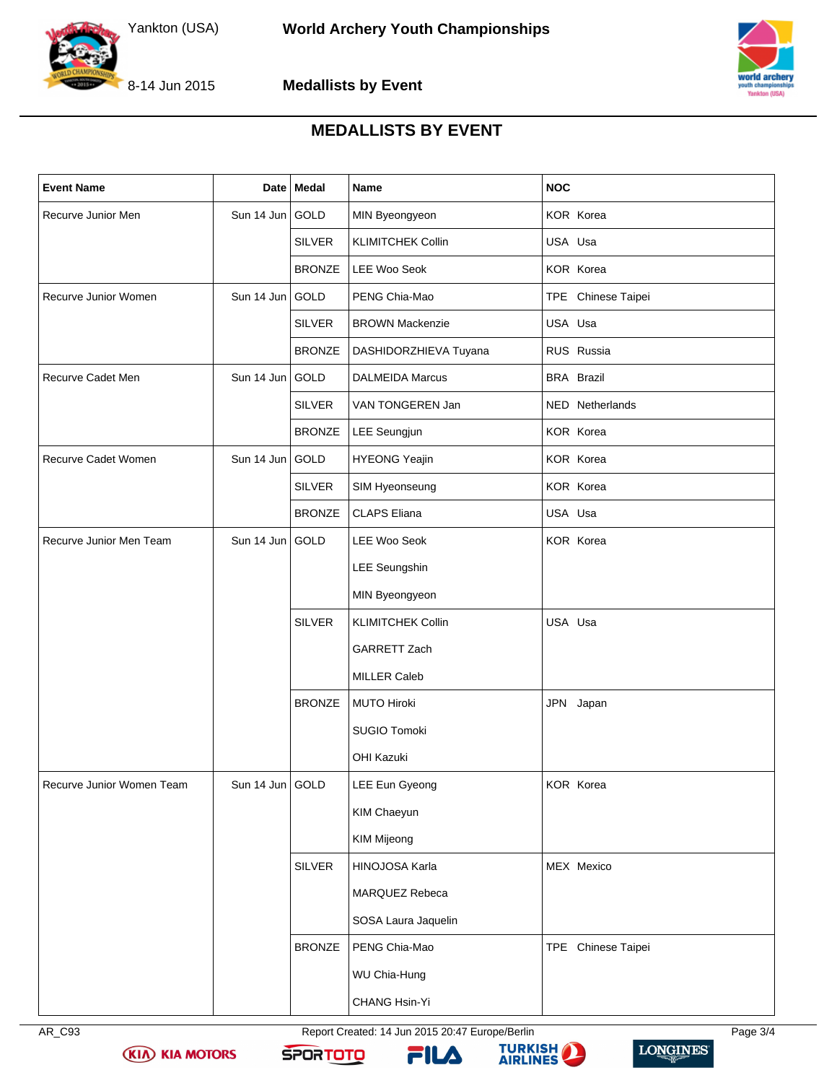



**Medallists by Event**



## **MEDALLISTS BY EVENT**

| <b>Event Name</b>         |                 | Date   Medal  | Name                     | <b>NOC</b>         |
|---------------------------|-----------------|---------------|--------------------------|--------------------|
| Recurve Junior Men        | Sun 14 Jun GOLD |               | MIN Byeongyeon           | KOR Korea          |
|                           |                 | <b>SILVER</b> | <b>KLIMITCHEK Collin</b> | USA Usa            |
|                           |                 | <b>BRONZE</b> | LEE Woo Seok             | KOR Korea          |
| Recurve Junior Women      | Sun 14 Jun GOLD |               | PENG Chia-Mao            | TPE Chinese Taipei |
|                           |                 | <b>SILVER</b> | <b>BROWN Mackenzie</b>   | USA Usa            |
|                           |                 | <b>BRONZE</b> | DASHIDORZHIEVA Tuyana    | RUS Russia         |
| Recurve Cadet Men         | Sun 14 Jun GOLD |               | <b>DALMEIDA Marcus</b>   | <b>BRA Brazil</b>  |
|                           |                 | <b>SILVER</b> | VAN TONGEREN Jan         | NED Netherlands    |
|                           |                 | <b>BRONZE</b> | LEE Seungjun             | KOR Korea          |
| Recurve Cadet Women       | Sun 14 Jun GOLD |               | <b>HYEONG Yeajin</b>     | KOR Korea          |
|                           |                 | <b>SILVER</b> | SIM Hyeonseung           | <b>KOR Korea</b>   |
|                           |                 | <b>BRONZE</b> | <b>CLAPS Eliana</b>      | USA Usa            |
| Recurve Junior Men Team   | Sun 14 Jun GOLD |               | <b>LEE Woo Seok</b>      | KOR Korea          |
|                           |                 |               | <b>LEE Seungshin</b>     |                    |
|                           |                 |               | MIN Byeongyeon           |                    |
|                           |                 | <b>SILVER</b> | <b>KLIMITCHEK Collin</b> | USA Usa            |
|                           |                 |               | GARRETT Zach             |                    |
|                           |                 |               | <b>MILLER Caleb</b>      |                    |
|                           |                 | <b>BRONZE</b> | <b>MUTO Hiroki</b>       | JPN Japan          |
|                           |                 |               | SUGIO Tomoki             |                    |
|                           |                 |               | <b>OHI Kazuki</b>        |                    |
| Recurve Junior Women Team | Sun 14 Jun GOLD |               | LEE Eun Gyeong           | KOR Korea          |
|                           |                 |               | KIM Chaeyun              |                    |
|                           |                 |               | <b>KIM Mijeong</b>       |                    |
|                           |                 | <b>SILVER</b> | HINOJOSA Karla           | MEX Mexico         |
|                           |                 |               | MARQUEZ Rebeca           |                    |
|                           |                 |               | SOSA Laura Jaquelin      |                    |
|                           |                 | <b>BRONZE</b> | PENG Chia-Mao            | TPE Chinese Taipei |
|                           |                 |               | WU Chia-Hung             |                    |
|                           |                 |               | CHANG Hsin-Yi            |                    |



AR\_C93 Report Created: 14 Jun 2015 20:47 Europe/Berlin Page 3/4



**KIA KIA MOTORS**